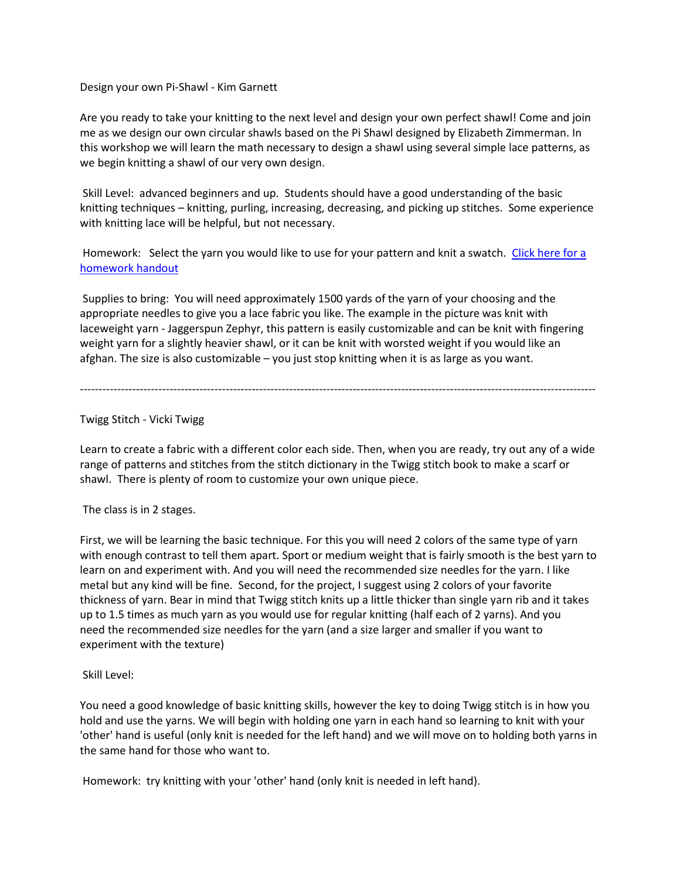Design your own Pi-Shawl - Kim Garnett

Are you ready to take your knitting to the next level and design your own perfect shawl! Come and join me as we design our own circular shawls based on the Pi Shawl designed by Elizabeth Zimmerman. In this workshop we will learn the math necessary to design a shawl using several simple lace patterns, as we begin knitting a shawl of our very own design.

Skill Level: advanced beginners and up. Students should have a good understanding of the basic knitting techniques – knitting, purling, increasing, decreasing, and picking up stitches. Some experience with knitting lace will be helpful, but not necessary.

Homework: Select the yarn you would like to use for your pattern and knit a swatch. Click here for a [homework handout](http://media.wix.com/ugd/67fda1_a5f0269a21f6485c8b08230b8b7ceb95.pdf)

Supplies to bring: You will need approximately 1500 yards of the yarn of your choosing and the appropriate needles to give you a lace fabric you like. The example in the picture was knit with laceweight yarn - Jaggerspun Zephyr, this pattern is easily customizable and can be knit with fingering weight yarn for a slightly heavier shawl, or it can be knit with worsted weight if you would like an afghan. The size is also customizable – you just stop knitting when it is as large as you want.

# Twigg Stitch - Vicki Twigg

Learn to create a fabric with a different color each side. Then, when you are ready, try out any of a wide range of patterns and stitches from the stitch dictionary in the Twigg stitch book to make a scarf or shawl. There is plenty of room to customize your own unique piece.

------------------------------------------------------------------------------------------------------------------------------------------

The class is in 2 stages.

First, we will be learning the basic technique. For this you will need 2 colors of the same type of yarn with enough contrast to tell them apart. Sport or medium weight that is fairly smooth is the best yarn to learn on and experiment with. And you will need the recommended size needles for the yarn. I like metal but any kind will be fine. Second, for the project, I suggest using 2 colors of your favorite thickness of yarn. Bear in mind that Twigg stitch knits up a little thicker than single yarn rib and it takes up to 1.5 times as much yarn as you would use for regular knitting (half each of 2 yarns). And you need the recommended size needles for the yarn (and a size larger and smaller if you want to experiment with the texture)

## Skill Level:

You need a good knowledge of basic knitting skills, however the key to doing Twigg stitch is in how you hold and use the yarns. We will begin with holding one yarn in each hand so learning to knit with your 'other' hand is useful (only knit is needed for the left hand) and we will move on to holding both yarns in the same hand for those who want to.

Homework: try knitting with your 'other' hand (only knit is needed in left hand).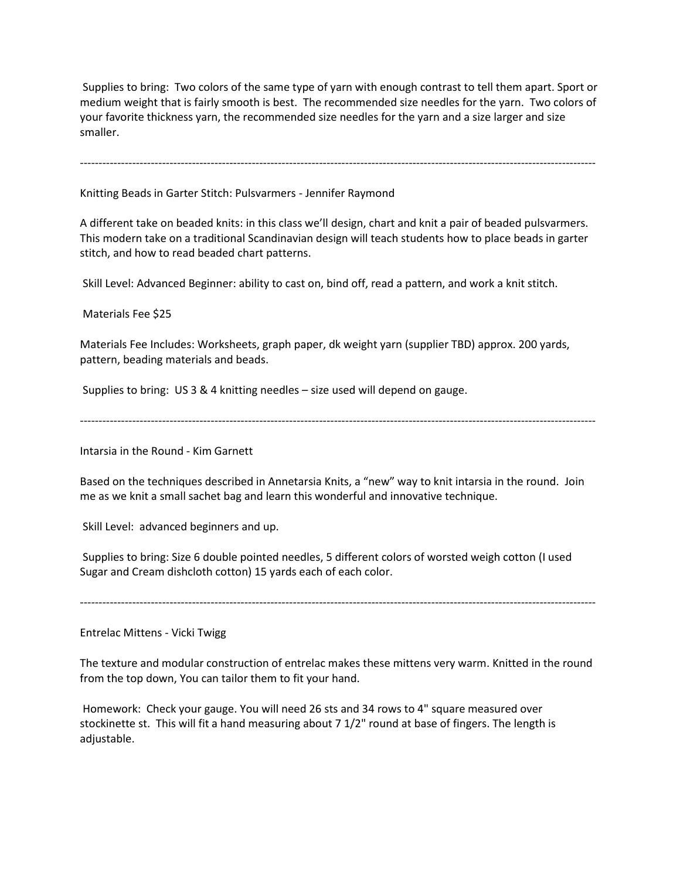Supplies to bring: Two colors of the same type of yarn with enough contrast to tell them apart. Sport or medium weight that is fairly smooth is best. The recommended size needles for the yarn. Two colors of your favorite thickness yarn, the recommended size needles for the yarn and a size larger and size smaller.

------------------------------------------------------------------------------------------------------------------------------------------

Knitting Beads in Garter Stitch: Pulsvarmers - Jennifer Raymond

A different take on beaded knits: in this class we'll design, chart and knit a pair of beaded pulsvarmers. This modern take on a traditional Scandinavian design will teach students how to place beads in garter stitch, and how to read beaded chart patterns.

Skill Level: Advanced Beginner: ability to cast on, bind off, read a pattern, and work a knit stitch.

Materials Fee \$25

Materials Fee Includes: Worksheets, graph paper, dk weight yarn (supplier TBD) approx. 200 yards, pattern, beading materials and beads.

Supplies to bring: US 3 & 4 knitting needles – size used will depend on gauge.

------------------------------------------------------------------------------------------------------------------------------------------

Intarsia in the Round - Kim Garnett

Based on the techniques described in Annetarsia Knits, a "new" way to knit intarsia in the round. Join me as we knit a small sachet bag and learn this wonderful and innovative technique.

Skill Level: advanced beginners and up.

Supplies to bring: Size 6 double pointed needles, 5 different colors of worsted weigh cotton (I used Sugar and Cream dishcloth cotton) 15 yards each of each color.

Entrelac Mittens - Vicki Twigg

The texture and modular construction of entrelac makes these mittens very warm. Knitted in the round from the top down, You can tailor them to fit your hand.

------------------------------------------------------------------------------------------------------------------------------------------

Homework: Check your gauge. You will need 26 sts and 34 rows to 4" square measured over stockinette st. This will fit a hand measuring about 7 1/2" round at base of fingers. The length is adjustable.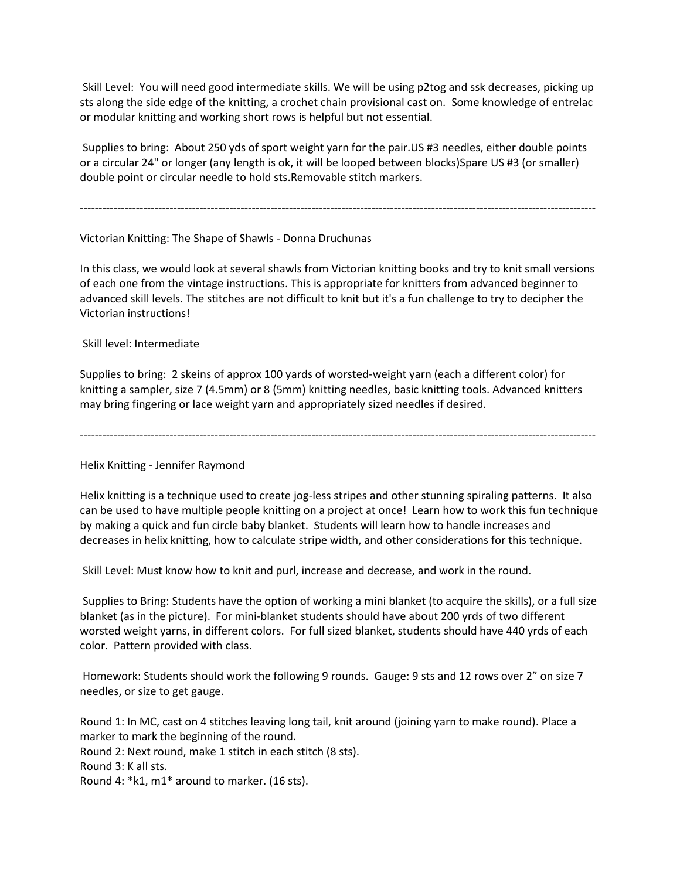Skill Level: You will need good intermediate skills. We will be using p2tog and ssk decreases, picking up sts along the side edge of the knitting, a crochet chain provisional cast on. Some knowledge of entrelac or modular knitting and working short rows is helpful but not essential.

Supplies to bring: About 250 yds of sport weight yarn for the pair.US #3 needles, either double points or a circular 24" or longer (any length is ok, it will be looped between blocks)Spare US #3 (or smaller) double point or circular needle to hold sts.Removable stitch markers.

------------------------------------------------------------------------------------------------------------------------------------------

## Victorian Knitting: The Shape of Shawls - Donna Druchunas

In this class, we would look at several shawls from Victorian knitting books and try to knit small versions of each one from the vintage instructions. This is appropriate for knitters from advanced beginner to advanced skill levels. The stitches are not difficult to knit but it's a fun challenge to try to decipher the Victorian instructions!

Skill level: Intermediate

Supplies to bring: 2 skeins of approx 100 yards of worsted-weight yarn (each a different color) for knitting a sampler, size 7 (4.5mm) or 8 (5mm) knitting needles, basic knitting tools. Advanced knitters may bring fingering or lace weight yarn and appropriately sized needles if desired.

------------------------------------------------------------------------------------------------------------------------------------------

Helix Knitting - Jennifer Raymond

Helix knitting is a technique used to create jog-less stripes and other stunning spiraling patterns. It also can be used to have multiple people knitting on a project at once! Learn how to work this fun technique by making a quick and fun circle baby blanket. Students will learn how to handle increases and decreases in helix knitting, how to calculate stripe width, and other considerations for this technique.

Skill Level: Must know how to knit and purl, increase and decrease, and work in the round.

Supplies to Bring: Students have the option of working a mini blanket (to acquire the skills), or a full size blanket (as in the picture). For mini-blanket students should have about 200 yrds of two different worsted weight yarns, in different colors. For full sized blanket, students should have 440 yrds of each color. Pattern provided with class.

Homework: Students should work the following 9 rounds. Gauge: 9 sts and 12 rows over 2" on size 7 needles, or size to get gauge.

Round 1: In MC, cast on 4 stitches leaving long tail, knit around (joining yarn to make round). Place a marker to mark the beginning of the round. Round 2: Next round, make 1 stitch in each stitch (8 sts). Round 3: K all sts. Round 4: \*k1, m1\* around to marker. (16 sts).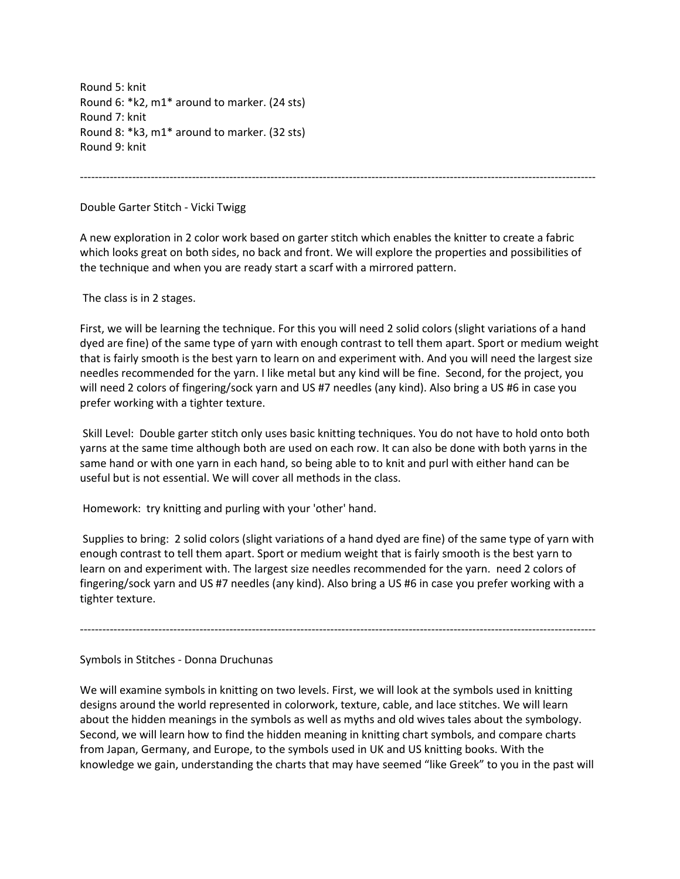Round 5: knit Round 6: \*k2, m1\* around to marker. (24 sts) Round 7: knit Round 8: \*k3, m1\* around to marker. (32 sts) Round 9: knit

------------------------------------------------------------------------------------------------------------------------------------------

## Double Garter Stitch - Vicki Twigg

A new exploration in 2 color work based on garter stitch which enables the knitter to create a fabric which looks great on both sides, no back and front. We will explore the properties and possibilities of the technique and when you are ready start a scarf with a mirrored pattern.

The class is in 2 stages.

First, we will be learning the technique. For this you will need 2 solid colors (slight variations of a hand dyed are fine) of the same type of yarn with enough contrast to tell them apart. Sport or medium weight that is fairly smooth is the best yarn to learn on and experiment with. And you will need the largest size needles recommended for the yarn. I like metal but any kind will be fine. Second, for the project, you will need 2 colors of fingering/sock yarn and US #7 needles (any kind). Also bring a US #6 in case you prefer working with a tighter texture.

Skill Level: Double garter stitch only uses basic knitting techniques. You do not have to hold onto both yarns at the same time although both are used on each row. It can also be done with both yarns in the same hand or with one yarn in each hand, so being able to to knit and purl with either hand can be useful but is not essential. We will cover all methods in the class.

Homework: try knitting and purling with your 'other' hand.

Supplies to bring: 2 solid colors (slight variations of a hand dyed are fine) of the same type of yarn with enough contrast to tell them apart. Sport or medium weight that is fairly smooth is the best yarn to learn on and experiment with. The largest size needles recommended for the yarn. need 2 colors of fingering/sock yarn and US #7 needles (any kind). Also bring a US #6 in case you prefer working with a tighter texture.

------------------------------------------------------------------------------------------------------------------------------------------

## Symbols in Stitches - Donna Druchunas

We will examine symbols in knitting on two levels. First, we will look at the symbols used in knitting designs around the world represented in colorwork, texture, cable, and lace stitches. We will learn about the hidden meanings in the symbols as well as myths and old wives tales about the symbology. Second, we will learn how to find the hidden meaning in knitting chart symbols, and compare charts from Japan, Germany, and Europe, to the symbols used in UK and US knitting books. With the knowledge we gain, understanding the charts that may have seemed "like Greek" to you in the past will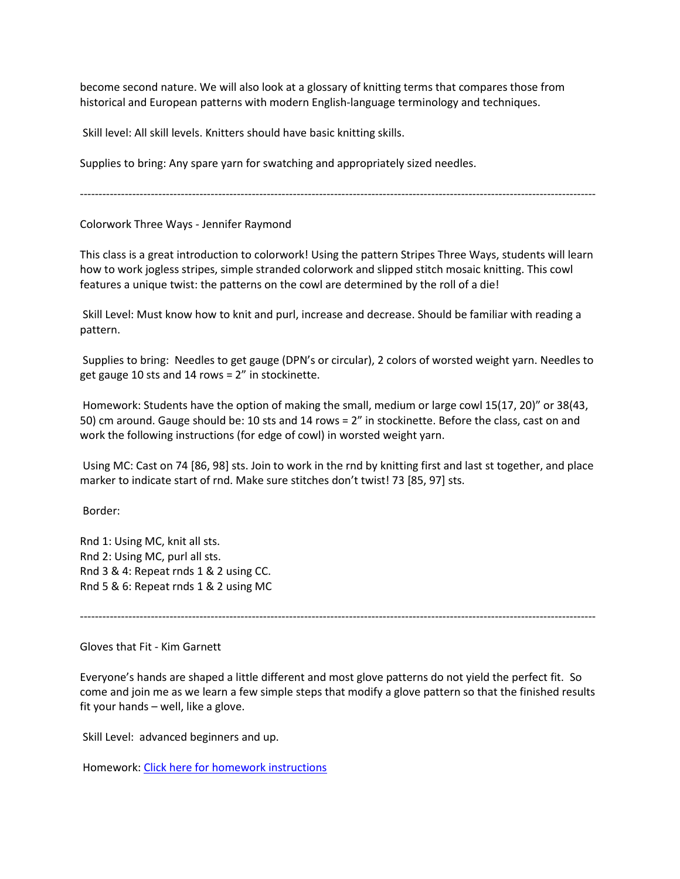become second nature. We will also look at a glossary of knitting terms that compares those from historical and European patterns with modern English-language terminology and techniques.

Skill level: All skill levels. Knitters should have basic knitting skills.

Supplies to bring: Any spare yarn for swatching and appropriately sized needles.

------------------------------------------------------------------------------------------------------------------------------------------

Colorwork Three Ways - Jennifer Raymond

This class is a great introduction to colorwork! Using the pattern Stripes Three Ways, students will learn how to work jogless stripes, simple stranded colorwork and slipped stitch mosaic knitting. This cowl features a unique twist: the patterns on the cowl are determined by the roll of a die!

Skill Level: Must know how to knit and purl, increase and decrease. Should be familiar with reading a pattern.

Supplies to bring: Needles to get gauge (DPN's or circular), 2 colors of worsted weight yarn. Needles to get gauge 10 sts and 14 rows = 2" in stockinette.

Homework: Students have the option of making the small, medium or large cowl 15(17, 20)" or 38(43, 50) cm around. Gauge should be: 10 sts and 14 rows = 2" in stockinette. Before the class, cast on and work the following instructions (for edge of cowl) in worsted weight yarn.

Using MC: Cast on 74 [86, 98] sts. Join to work in the rnd by knitting first and last st together, and place marker to indicate start of rnd. Make sure stitches don't twist! 73 [85, 97] sts.

Border:

Rnd 1: Using MC, knit all sts. Rnd 2: Using MC, purl all sts. Rnd 3 & 4: Repeat rnds 1 & 2 using CC. Rnd 5 & 6: Repeat rnds 1 & 2 using MC

------------------------------------------------------------------------------------------------------------------------------------------

Gloves that Fit - Kim Garnett

Everyone's hands are shaped a little different and most glove patterns do not yield the perfect fit. So come and join me as we learn a few simple steps that modify a glove pattern so that the finished results fit your hands – well, like a glove.

Skill Level: advanced beginners and up.

Homework: [Click here for homework instructions](http://media.wix.com/ugd/67fda1_fb8cd5dd024e488280a6423c21460e12.pdf)